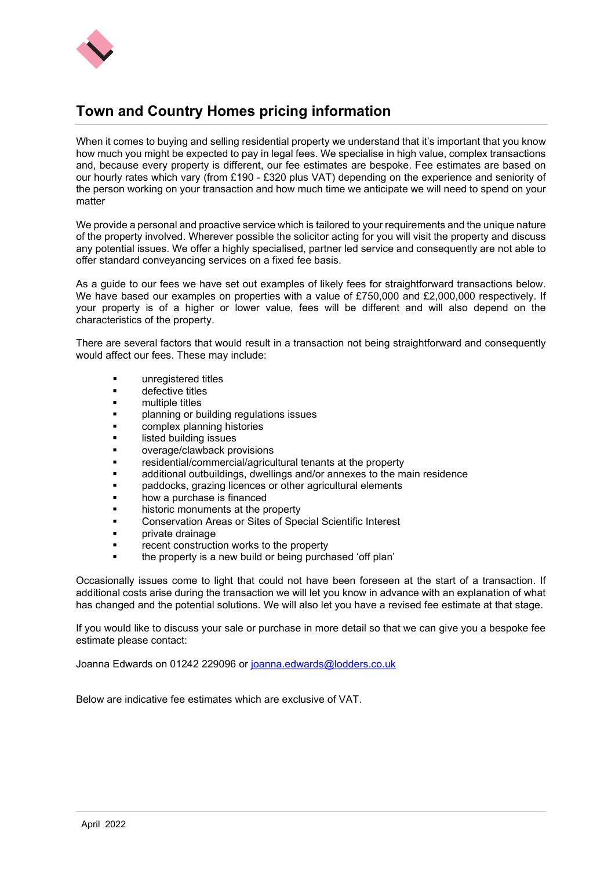

# **Town and Country Homes pricing information**

When it comes to buying and selling residential property we understand that it's important that you know how much you might be expected to pay in legal fees. We specialise in high value, complex transactions and, because every property is different, our fee estimates are bespoke. Fee estimates are based on our hourly rates which vary (from £190 - £320 plus VAT) depending on the experience and seniority of the person working on your transaction and how much time we anticipate we will need to spend on your matter

We provide a personal and proactive service which is tailored to your requirements and the unique nature of the property involved. Wherever possible the solicitor acting for you will visit the property and discuss any potential issues. We offer a highly specialised, partner led service and consequently are not able to offer standard conveyancing services on a fixed fee basis.

As a guide to our fees we have set out examples of likely fees for straightforward transactions below. We have based our examples on properties with a value of £750,000 and £2,000,000 respectively. If your property is of a higher or lower value, fees will be different and will also depend on the characteristics of the property.

There are several factors that would result in a transaction not being straightforward and consequently would affect our fees. These may include:

- unregistered titles
- defective titles
- multiple titles
- planning or building regulations issues
- complex planning histories
- listed building issues
- overage/clawback provisions
- residential/commercial/agricultural tenants at the property
- additional outbuildings, dwellings and/or annexes to the main residence
- paddocks, grazing licences or other agricultural elements
- how a purchase is financed
- historic monuments at the property
- Conservation Areas or Sites of Special Scientific Interest
- private drainage
- recent construction works to the property
- the property is a new build or being purchased 'off plan'

Occasionally issues come to light that could not have been foreseen at the start of a transaction. If additional costs arise during the transaction we will let you know in advance with an explanation of what has changed and the potential solutions. We will also let you have a revised fee estimate at that stage.

If you would like to discuss your sale or purchase in more detail so that we can give you a bespoke fee estimate please contact:

Joanna Edwards on 01242 229096 or [joanna.edwards@lodders.co.uk](mailto:joanna.edwards@lodders.co.uk)

Below are indicative fee estimates which are exclusive of VAT.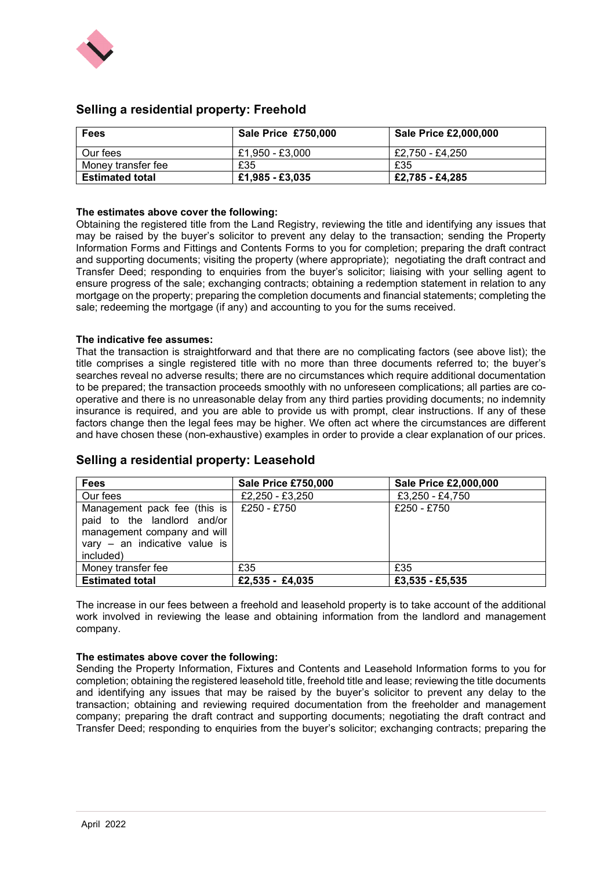

| <b>Fees</b>            | <b>Sale Price £750,000</b> | <b>Sale Price £2,000,000</b> |
|------------------------|----------------------------|------------------------------|
| Our fees               | £1,950 - £3,000            | £2,750 - £4,250              |
| Money transfer fee     | £35                        | £35                          |
| <b>Estimated total</b> | £1,985 - £3,035            | £2.785 - £4.285              |

# **Selling a residential property: Freehold**

#### **The estimates above cover the following:**

Obtaining the registered title from the Land Registry, reviewing the title and identifying any issues that may be raised by the buyer's solicitor to prevent any delay to the transaction; sending the Property Information Forms and Fittings and Contents Forms to you for completion; preparing the draft contract and supporting documents; visiting the property (where appropriate); negotiating the draft contract and Transfer Deed; responding to enquiries from the buyer's solicitor; liaising with your selling agent to ensure progress of the sale; exchanging contracts; obtaining a redemption statement in relation to any mortgage on the property; preparing the completion documents and financial statements; completing the sale; redeeming the mortgage (if any) and accounting to you for the sums received.

#### **The indicative fee assumes:**

That the transaction is straightforward and that there are no complicating factors (see above list); the title comprises a single registered title with no more than three documents referred to; the buyer's searches reveal no adverse results; there are no circumstances which require additional documentation to be prepared; the transaction proceeds smoothly with no unforeseen complications; all parties are cooperative and there is no unreasonable delay from any third parties providing documents; no indemnity insurance is required, and you are able to provide us with prompt, clear instructions. If any of these factors change then the legal fees may be higher. We often act where the circumstances are different and have chosen these (non-exhaustive) examples in order to provide a clear explanation of our prices.

| <b>Fees</b>                                                                                                                              | <b>Sale Price £750,000</b> | Sale Price £2,000,000 |
|------------------------------------------------------------------------------------------------------------------------------------------|----------------------------|-----------------------|
| Our fees                                                                                                                                 | £2,250 - £3,250            | £3,250 - £4,750       |
| Management pack fee (this is<br>paid to the landlord and/or<br>management company and will<br>vary - an indicative value is<br>included) | £250 - £750                | £250 - £750           |
| Money transfer fee                                                                                                                       | £35                        | £35                   |
| <b>Estimated total</b>                                                                                                                   | $£2,535 - £4,035$          | £3,535 - £5,535       |

### **Selling a residential property: Leasehold**

The increase in our fees between a freehold and leasehold property is to take account of the additional work involved in reviewing the lease and obtaining information from the landlord and management company.

#### **The estimates above cover the following:**

Sending the Property Information, Fixtures and Contents and Leasehold Information forms to you for completion; obtaining the registered leasehold title, freehold title and lease; reviewing the title documents and identifying any issues that may be raised by the buyer's solicitor to prevent any delay to the transaction; obtaining and reviewing required documentation from the freeholder and management company; preparing the draft contract and supporting documents; negotiating the draft contract and Transfer Deed; responding to enquiries from the buyer's solicitor; exchanging contracts; preparing the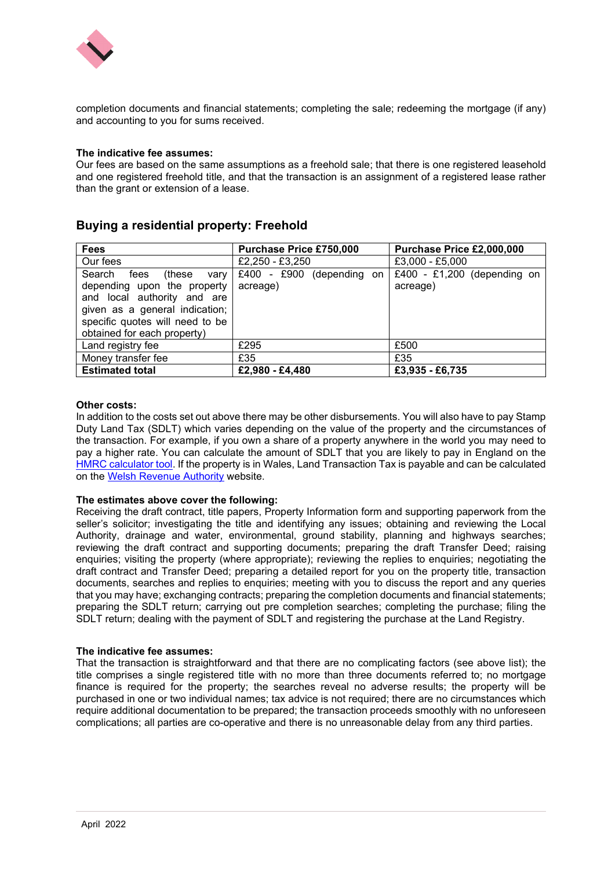

completion documents and financial statements; completing the sale; redeeming the mortgage (if any) and accounting to you for sums received.

#### **The indicative fee assumes:**

Our fees are based on the same assumptions as a freehold sale; that there is one registered leasehold and one registered freehold title, and that the transaction is an assignment of a registered lease rather than the grant or extension of a lease.

# **Buying a residential property: Freehold**

| <b>Fees</b>                       | Purchase Price £750,000   | Purchase Price £2,000,000   |
|-----------------------------------|---------------------------|-----------------------------|
| Our fees                          | £2,250 - £3,250           | £3,000 - £5,000             |
| Search<br>fees<br>(these)<br>vary | £400 - £900 (depending on | £400 - £1,200 (depending on |
| depending upon the property       | acreage)                  | acreage)                    |
| and local authority and are       |                           |                             |
| given as a general indication;    |                           |                             |
| specific quotes will need to be   |                           |                             |
| obtained for each property)       |                           |                             |
| Land registry fee                 | £295                      | £500                        |
| Money transfer fee                | £35                       | £35                         |
| <b>Estimated total</b>            | £2,980 - £4,480           | £3.935 - £6.735             |

#### **Other costs:**

In addition to the costs set out above there may be other disbursements. You will also have to pay Stamp Duty Land Tax (SDLT) which varies depending on the value of the property and the circumstances of the transaction. For example, if you own a share of a property anywhere in the world you may need to pay a higher rate. You can calculate the amount of SDLT that you are likely to pay in England on the [HMRC calculator tool.](https://www.tax.service.gov.uk/calculate-stamp-duty-land-tax/#/intro) If the property is in Wales, Land Transaction Tax is payable and can be calculated on the [Welsh Revenue Authority](https://gov.wales/land-transaction-tax-calculator) website.

#### **The estimates above cover the following:**

Receiving the draft contract, title papers, Property Information form and supporting paperwork from the seller's solicitor; investigating the title and identifying any issues; obtaining and reviewing the Local Authority, drainage and water, environmental, ground stability, planning and highways searches; reviewing the draft contract and supporting documents; preparing the draft Transfer Deed; raising enquiries; visiting the property (where appropriate); reviewing the replies to enquiries; negotiating the draft contract and Transfer Deed; preparing a detailed report for you on the property title, transaction documents, searches and replies to enquiries; meeting with you to discuss the report and any queries that you may have; exchanging contracts; preparing the completion documents and financial statements; preparing the SDLT return; carrying out pre completion searches; completing the purchase; filing the SDLT return; dealing with the payment of SDLT and registering the purchase at the Land Registry.

#### **The indicative fee assumes:**

That the transaction is straightforward and that there are no complicating factors (see above list); the title comprises a single registered title with no more than three documents referred to; no mortgage finance is required for the property; the searches reveal no adverse results; the property will be purchased in one or two individual names; tax advice is not required; there are no circumstances which require additional documentation to be prepared; the transaction proceeds smoothly with no unforeseen complications; all parties are co-operative and there is no unreasonable delay from any third parties.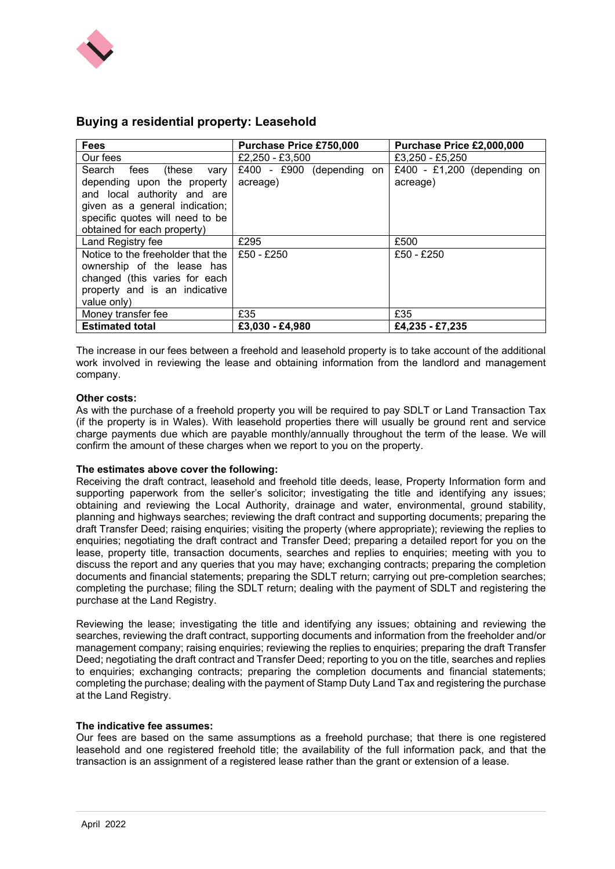

# **Buying a residential property: Leasehold**

| <b>Fees</b>                       | <b>Purchase Price £750,000</b> | Purchase Price £2,000,000   |
|-----------------------------------|--------------------------------|-----------------------------|
| Our fees                          | £2,250 - £3,500                | £3,250 - £5,250             |
| Search fees (these<br>vary        | £400 - £900 (depending on      | £400 - £1,200 (depending on |
| depending upon the property       | acreage)                       | acreage)                    |
| and local authority and are       |                                |                             |
| given as a general indication;    |                                |                             |
| specific quotes will need to be   |                                |                             |
| obtained for each property)       |                                |                             |
| Land Registry fee                 | £295                           | £500                        |
| Notice to the freeholder that the | £50 - £250                     | £50 - £250                  |
| ownership of the lease has        |                                |                             |
| changed (this varies for each     |                                |                             |
| property and is an indicative     |                                |                             |
| value only)                       |                                |                             |
| Money transfer fee                | £35                            | £35                         |
| <b>Estimated total</b>            | £3,030 - £4,980                | £4,235 - £7,235             |

The increase in our fees between a freehold and leasehold property is to take account of the additional work involved in reviewing the lease and obtaining information from the landlord and management company.

### **Other costs:**

As with the purchase of a freehold property you will be required to pay SDLT or Land Transaction Tax (if the property is in Wales). With leasehold properties there will usually be ground rent and service charge payments due which are payable monthly/annually throughout the term of the lease. We will confirm the amount of these charges when we report to you on the property.

#### **The estimates above cover the following:**

Receiving the draft contract, leasehold and freehold title deeds, lease, Property Information form and supporting paperwork from the seller's solicitor; investigating the title and identifying any issues; obtaining and reviewing the Local Authority, drainage and water, environmental, ground stability, planning and highways searches; reviewing the draft contract and supporting documents; preparing the draft Transfer Deed; raising enquiries; visiting the property (where appropriate); reviewing the replies to enquiries; negotiating the draft contract and Transfer Deed; preparing a detailed report for you on the lease, property title, transaction documents, searches and replies to enquiries; meeting with you to discuss the report and any queries that you may have; exchanging contracts; preparing the completion documents and financial statements; preparing the SDLT return; carrying out pre-completion searches; completing the purchase; filing the SDLT return; dealing with the payment of SDLT and registering the purchase at the Land Registry.

Reviewing the lease; investigating the title and identifying any issues; obtaining and reviewing the searches, reviewing the draft contract, supporting documents and information from the freeholder and/or management company; raising enquiries; reviewing the replies to enquiries; preparing the draft Transfer Deed; negotiating the draft contract and Transfer Deed; reporting to you on the title, searches and replies to enquiries; exchanging contracts; preparing the completion documents and financial statements; completing the purchase; dealing with the payment of Stamp Duty Land Tax and registering the purchase at the Land Registry.

#### **The indicative fee assumes:**

Our fees are based on the same assumptions as a freehold purchase; that there is one registered leasehold and one registered freehold title; the availability of the full information pack, and that the transaction is an assignment of a registered lease rather than the grant or extension of a lease.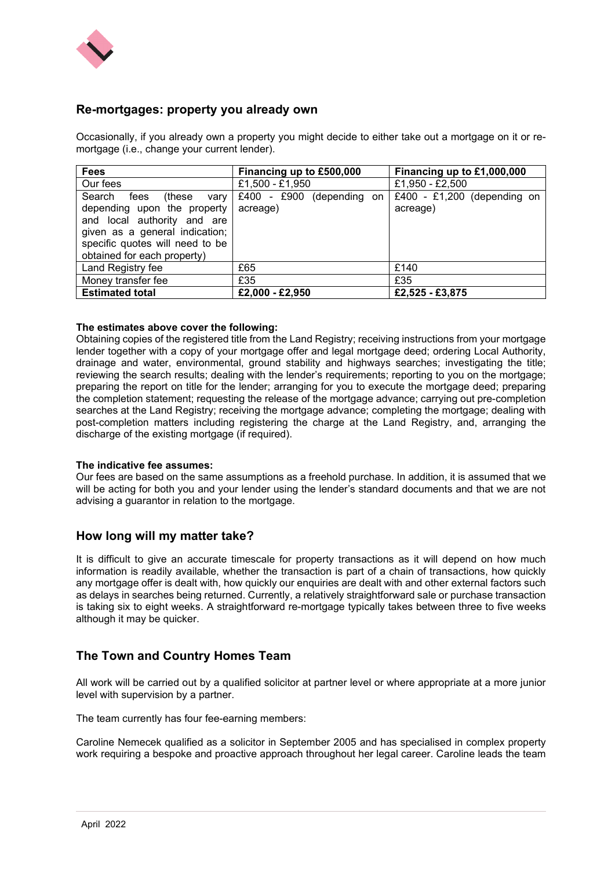

# **Re-mortgages: property you already own**

Occasionally, if you already own a property you might decide to either take out a mortgage on it or remortgage (i.e., change your current lender).

| <b>Fees</b>                                                                                                                                                                                        | Financing up to £500,000                | Financing up to £1,000,000              |
|----------------------------------------------------------------------------------------------------------------------------------------------------------------------------------------------------|-----------------------------------------|-----------------------------------------|
| Our fees                                                                                                                                                                                           | £1,500 - £1,950                         | £1,950 - £2,500                         |
| Search<br>fees<br>(these<br>vary<br>depending upon the property<br>and local authority and are<br>given as a general indication;<br>specific quotes will need to be<br>obtained for each property) | $£400 - £900$ (depending on<br>acreage) | £400 - £1,200 (depending on<br>acreage) |
| Land Registry fee                                                                                                                                                                                  | £65                                     | £140                                    |
| Money transfer fee                                                                                                                                                                                 | £35                                     | £35                                     |
| <b>Estimated total</b>                                                                                                                                                                             | £2,000 - £2,950                         | £2,525 - £3,875                         |

#### **The estimates above cover the following:**

Obtaining copies of the registered title from the Land Registry; receiving instructions from your mortgage lender together with a copy of your mortgage offer and legal mortgage deed; ordering Local Authority, drainage and water, environmental, ground stability and highways searches; investigating the title; reviewing the search results; dealing with the lender's requirements; reporting to you on the mortgage; preparing the report on title for the lender; arranging for you to execute the mortgage deed; preparing the completion statement; requesting the release of the mortgage advance; carrying out pre-completion searches at the Land Registry; receiving the mortgage advance; completing the mortgage; dealing with post-completion matters including registering the charge at the Land Registry, and, arranging the discharge of the existing mortgage (if required).

#### **The indicative fee assumes:**

Our fees are based on the same assumptions as a freehold purchase. In addition, it is assumed that we will be acting for both you and your lender using the lender's standard documents and that we are not advising a guarantor in relation to the mortgage.

# **How long will my matter take?**

It is difficult to give an accurate timescale for property transactions as it will depend on how much information is readily available, whether the transaction is part of a chain of transactions, how quickly any mortgage offer is dealt with, how quickly our enquiries are dealt with and other external factors such as delays in searches being returned. Currently, a relatively straightforward sale or purchase transaction is taking six to eight weeks. A straightforward re-mortgage typically takes between three to five weeks although it may be quicker.

# **The Town and Country Homes Team**

All work will be carried out by a qualified solicitor at partner level or where appropriate at a more junior level with supervision by a partner.

The team currently has four fee-earning members:

Caroline Nemecek qualified as a solicitor in September 2005 and has specialised in complex property work requiring a bespoke and proactive approach throughout her legal career. Caroline leads the team